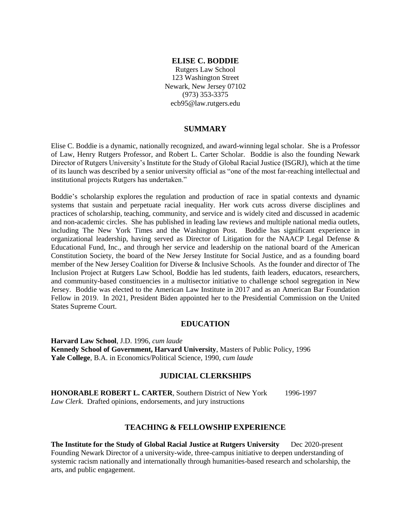### **ELISE C. BODDIE**

Rutgers Law School 123 Washington Street Newark, New Jersey 07102 (973) 353-3375 ecb95@law.rutgers.edu

#### **SUMMARY**

Elise C. Boddie is a dynamic, nationally recognized, and award-winning legal scholar. She is a Professor of Law, Henry Rutgers Professor, and Robert L. Carter Scholar. Boddie is also the founding Newark Director of Rutgers University's Institute for the Study of Global Racial Justice (ISGRJ), which at the time of its launch was described by a senior university official as "one of the most far-reaching intellectual and institutional projects Rutgers has undertaken."

Boddie's scholarship explores the regulation and production of race in spatial contexts and dynamic systems that sustain and perpetuate racial inequality. Her work cuts across diverse disciplines and practices of scholarship, teaching, community, and service and is widely cited and discussed in academic and non-academic circles. She has published in leading law reviews and multiple national media outlets, including The New York Times and the Washington Post. Boddie has significant experience in organizational leadership, having served as Director of Litigation for the NAACP Legal Defense & Educational Fund, Inc., and through her service and leadership on the national board of the American Constitution Society, the board of the New Jersey Institute for Social Justice, and as a founding board member of the New Jersey Coalition for Diverse & Inclusive Schools. As the founder and director of The Inclusion Project at Rutgers Law School, Boddie has led students, faith leaders, educators, researchers, and community-based constituencies in a multisector initiative to challenge school segregation in New Jersey. Boddie was elected to the American Law Institute in 2017 and as an American Bar Foundation Fellow in 2019. In 2021, President Biden appointed her to the Presidential Commission on the United States Supreme Court.

#### **EDUCATION**

**Harvard Law School**, J.D. 1996, *cum laude* **Kennedy School of Government, Harvard University**, Masters of Public Policy, 1996 **Yale College**, B.A. in Economics/Political Science, 1990, *cum laude*

### **JUDICIAL CLERKSHIPS**

**HONORABLE ROBERT L. CARTER**, Southern District of New York 1996-1997 *Law Clerk*. Drafted opinions, endorsements, and jury instructions

# **TEACHING & FELLOWSHIP EXPERIENCE**

**The Institute for the Study of Global Racial Justice at Rutgers University** Dec 2020-present Founding Newark Director of a university-wide, three-campus initiative to deepen understanding of systemic racism nationally and internationally through humanities-based research and scholarship, the arts, and public engagement.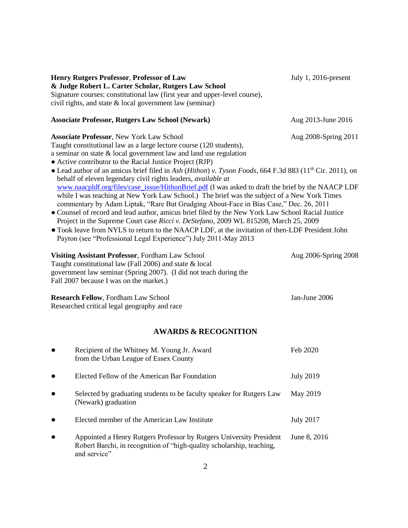| <b>Henry Rutgers Professor, Professor of Law</b><br>& Judge Robert L. Carter Scholar, Rutgers Law School<br>Signature courses: constitutional law (first year and upper-level course),<br>civil rights, and state & local government law (seminar)                                                                                                                                                                                                                                                                                                                                                                                                                                                                                                                                                                                                                                                                                                                                                                                                                                                                                          | July 1, 2016-present |  |  |
|---------------------------------------------------------------------------------------------------------------------------------------------------------------------------------------------------------------------------------------------------------------------------------------------------------------------------------------------------------------------------------------------------------------------------------------------------------------------------------------------------------------------------------------------------------------------------------------------------------------------------------------------------------------------------------------------------------------------------------------------------------------------------------------------------------------------------------------------------------------------------------------------------------------------------------------------------------------------------------------------------------------------------------------------------------------------------------------------------------------------------------------------|----------------------|--|--|
| <b>Associate Professor, Rutgers Law School (Newark)</b>                                                                                                                                                                                                                                                                                                                                                                                                                                                                                                                                                                                                                                                                                                                                                                                                                                                                                                                                                                                                                                                                                     | Aug 2013-June 2016   |  |  |
| <b>Associate Professor, New York Law School</b><br>Aug 2008-Spring 2011<br>Taught constitutional law as a large lecture course (120 students),<br>a seminar on state $&$ local government law and land use regulation<br>• Active contributor to the Racial Justice Project (RJP)<br>• Lead author of an amicus brief filed in Ash (Hithon) v. Tyson Foods, 664 F.3d 883 (11 <sup>th</sup> Cir. 2011), on<br>behalf of eleven legendary civil rights leaders, available at<br>www.naacpldf.org/files/case_issue/HithonBrief.pdf (I was asked to draft the brief by the NAACP LDF<br>while I was teaching at New York Law School.) The brief was the subject of a New York Times<br>commentary by Adam Liptak, "Rare But Grudging About-Face in Bias Case," Dec. 26, 2011<br>· Counsel of record and lead author, amicus brief filed by the New York Law School Racial Justice<br>Project in the Supreme Court case Ricci v. DeStefano, 2009 WL 815208, March 25, 2009<br>• Took leave from NYLS to return to the NAACP LDF, at the invitation of then-LDF President John<br>Payton (see "Professional Legal Experience") July 2011-May 2013 |                      |  |  |
| Visiting Assistant Professor, Fordham Law School<br>Taught constitutional law (Fall 2006) and state & local<br>government law seminar (Spring 2007). (I did not teach during the<br>Fall 2007 because I was on the market.)                                                                                                                                                                                                                                                                                                                                                                                                                                                                                                                                                                                                                                                                                                                                                                                                                                                                                                                 | Aug 2006-Spring 2008 |  |  |
| <b>Research Fellow, Fordham Law School</b><br>Researched critical legal geography and race                                                                                                                                                                                                                                                                                                                                                                                                                                                                                                                                                                                                                                                                                                                                                                                                                                                                                                                                                                                                                                                  | Jan-June 2006        |  |  |
| <b>AWARDS &amp; RECOGNITION</b>                                                                                                                                                                                                                                                                                                                                                                                                                                                                                                                                                                                                                                                                                                                                                                                                                                                                                                                                                                                                                                                                                                             |                      |  |  |
| Recipient of the Whitney M. Young Jr. Award                                                                                                                                                                                                                                                                                                                                                                                                                                                                                                                                                                                                                                                                                                                                                                                                                                                                                                                                                                                                                                                                                                 | Feb 2020             |  |  |

|           | Recipient of the willing M. Foung J. Award<br>from the Urban League of Essex County                                                                          | <b>FED ZUZU</b>  |
|-----------|--------------------------------------------------------------------------------------------------------------------------------------------------------------|------------------|
|           | Elected Fellow of the American Bar Foundation                                                                                                                | <b>July 2019</b> |
| $\bullet$ | Selected by graduating students to be faculty speaker for Rutgers Law<br>(Newark) graduation                                                                 | May 2019         |
|           | Elected member of the American Law Institute                                                                                                                 | <b>July 2017</b> |
|           | Appointed a Henry Rutgers Professor by Rutgers University President<br>Robert Barchi, in recognition of "high-quality scholarship, teaching,<br>and service" | June 8, 2016     |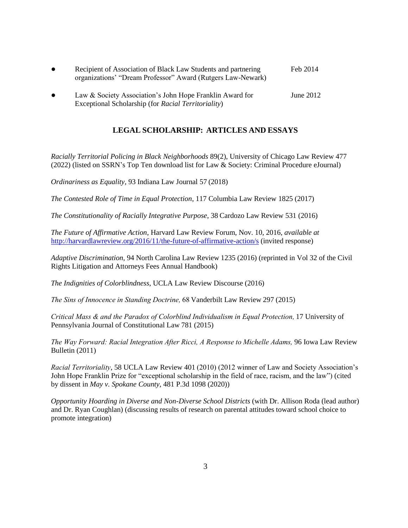| $\bullet$ | Recipient of Association of Black Law Students and partnering<br>organizations' "Dream Professor" Award (Rutgers Law-Newark) | Feb 2014    |
|-----------|------------------------------------------------------------------------------------------------------------------------------|-------------|
| $\bullet$ | Law & Society Association's John Hope Franklin Award for<br>Exceptional Scholarship (for <i>Racial Territoriality</i> )      | June $2012$ |

# **LEGAL SCHOLARSHIP: ARTICLES AND ESSAYS**

*Racially Territorial Policing in Black Neighborhoods* 89(2), University of Chicago Law Review 477 (2022) (listed on SSRN's Top Ten download list for Law & Society: Criminal Procedure eJournal)

*Ordinariness as Equality*, 93 Indiana Law Journal 57 (2018)

*The Contested Role of Time in Equal Protection*, 117 Columbia Law Review 1825 (2017)

*The Constitutionality of Racially Integrative Purpose*, 38 Cardozo Law Review 531 (2016)

*The Future of Affirmative Action*, Harvard Law Review Forum, Nov. 10, 2016, *available at* <http://harvardlawreview.org/2016/11/the-future-of-affirmative-action/s> (invited response)

*Adaptive Discrimination*, 94 North Carolina Law Review 1235 (2016) (reprinted in Vol 32 of the Civil Rights Litigation and Attorneys Fees Annual Handbook)

*The Indignities of Colorblindness*, UCLA Law Review Discourse (2016)

*The Sins of Innocence in Standing Doctrine,* 68 Vanderbilt Law Review 297 (2015)

*Critical Mass & and the Paradox of Colorblind Individualism in Equal Protection,* 17 University of Pennsylvania Journal of Constitutional Law 781 (2015)

*The Way Forward: Racial Integration After Ricci, A Response to Michelle Adams,* 96 Iowa Law Review Bulletin (2011)

*Racial Territoriality*, 58 UCLA Law Review 401 (2010) (2012 winner of Law and Society Association's John Hope Franklin Prize for "exceptional scholarship in the field of race, racism, and the law") (cited by dissent in *May v. Spokane County*, 481 P.3d 1098 (2020))

*Opportunity Hoarding in Diverse and Non-Diverse School Districts* (with Dr. Allison Roda (lead author) and Dr. Ryan Coughlan) (discussing results of research on parental attitudes toward school choice to promote integration)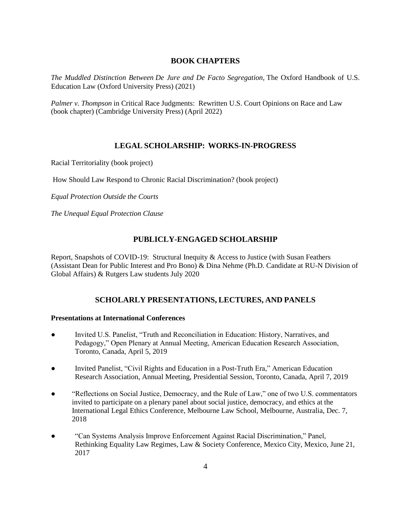# **BOOK CHAPTERS**

*The Muddled Distinction Between De Jure and De Facto Segregation,* The Oxford Handbook of U.S. Education Law (Oxford University Press) (2021)

*Palmer v. Thompson* in Critical Race Judgments: Rewritten U.S. Court Opinions on Race and Law (book chapter) (Cambridge University Press) (April 2022)

# **LEGAL SCHOLARSHIP: WORKS-IN-PROGRESS**

Racial Territoriality (book project)

How Should Law Respond to Chronic Racial Discrimination? (book project)

*Equal Protection Outside the Courts* 

*The Unequal Equal Protection Clause* 

# **PUBLICLY-ENGAGED SCHOLARSHIP**

Report, Snapshots of COVID-19: Structural Inequity & Access to Justice (with Susan Feathers (Assistant Dean for Public Interest and Pro Bono) & Dina Nehme (Ph.D. Candidate at RU-N Division of Global Affairs) & Rutgers Law students July 2020

# **SCHOLARLY PRESENTATIONS, LECTURES, AND PANELS**

#### **Presentations at International Conferences**

- Invited U.S. Panelist, "Truth and Reconciliation in Education: History, Narratives, and Pedagogy," Open Plenary at Annual Meeting, American Education Research Association, Toronto, Canada, April 5, 2019
- Invited Panelist, "Civil Rights and Education in a Post-Truth Era," American Education Research Association, Annual Meeting, Presidential Session, Toronto, Canada, April 7, 2019
- "Reflections on Social Justice, Democracy, and the Rule of Law," one of two U.S. commentators invited to participate on a plenary panel about social justice, democracy, and ethics at the International Legal Ethics Conference, Melbourne Law School, Melbourne, Australia, Dec. 7, 2018
- "Can Systems Analysis Improve Enforcement Against Racial Discrimination," Panel, Rethinking Equality Law Regimes, Law & Society Conference, Mexico City, Mexico, June 21, 2017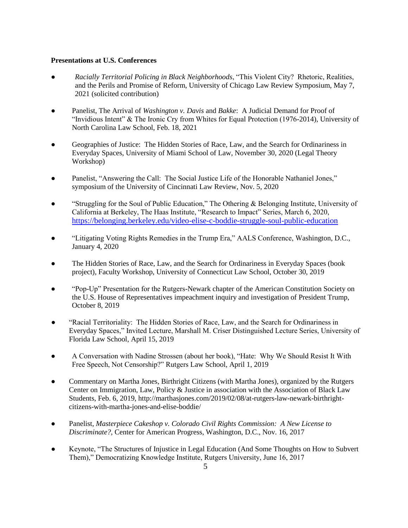### **Presentations at U.S. Conferences**

- *Racially Territorial Policing in Black Neighborhoods*, "This Violent City? Rhetoric, Realities, and the Perils and Promise of Reform, University of Chicago Law Review Symposium, May 7, 2021 (solicited contribution)
- Panelist, The Arrival of *Washington v. Davis* and *Bakke*: A Judicial Demand for Proof of "Invidious Intent" & The Ironic Cry from Whites for Equal Protection (1976-2014), University of North Carolina Law School, Feb. 18, 2021
- Geographies of Justice: The Hidden Stories of Race, Law, and the Search for Ordinariness in Everyday Spaces, University of Miami School of Law, November 30, 2020 (Legal Theory Workshop)
- Panelist, "Answering the Call: The Social Justice Life of the Honorable Nathaniel Jones," symposium of the University of Cincinnati Law Review, Nov. 5, 2020
- "Struggling for the Soul of Public Education," The Othering & Belonging Institute, University of California at Berkeley, The Haas Institute, "Research to Impact" Series, March 6, 2020, <https://belonging.berkeley.edu/video-elise-c-boddie-struggle-soul-public-education>
- "Litigating Voting Rights Remedies in the Trump Era," AALS Conference, Washington, D.C., January 4, 2020
- The Hidden Stories of Race, Law, and the Search for Ordinariness in Everyday Spaces (book project), Faculty Workshop, University of Connecticut Law School, October 30, 2019
- "Pop-Up" Presentation for the Rutgers-Newark chapter of the American Constitution Society on the U.S. House of Representatives impeachment inquiry and investigation of President Trump, October 8, 2019
- "Racial Territoriality: The Hidden Stories of Race, Law, and the Search for Ordinariness in Everyday Spaces," Invited Lecture, Marshall M. Criser Distinguished Lecture Series, University of Florida Law School, April 15, 2019
- A Conversation with Nadine Strossen (about her book), "Hate: Why We Should Resist It With Free Speech, Not Censorship?" Rutgers Law School, April 1, 2019
- Commentary on Martha Jones, Birthright Citizens (with Martha Jones), organized by the Rutgers Center on Immigration, Law, Policy & Justice in association with the Association of Black Law Students, Feb. 6, 2019, http://marthasjones.com/2019/02/08/at-rutgers-law-newark-birthrightcitizens-with-martha-jones-and-elise-boddie/
- Panelist, *Masterpiece Cakeshop v. Colorado Civil Rights Commission: A New License to Discriminate?*, Center for American Progress, Washington, D.C., Nov. 16, 2017
- Keynote, "The Structures of Injustice in Legal Education (And Some Thoughts on How to Subvert Them)," Democratizing Knowledge Institute, Rutgers University, June 16, 2017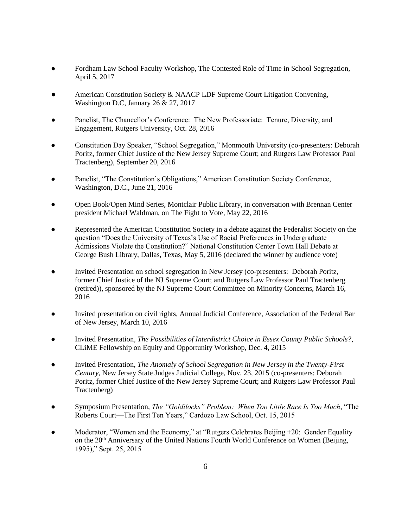- Fordham Law School Faculty Workshop, The Contested Role of Time in School Segregation, April 5, 2017
- American Constitution Society & NAACP LDF Supreme Court Litigation Convening, Washington D.C, January 26 & 27, 2017
- Panelist, The Chancellor's Conference: The New Professoriate: Tenure, Diversity, and Engagement, Rutgers University, Oct. 28, 2016
- Constitution Day Speaker, "School Segregation," Monmouth University (co-presenters: Deborah Poritz, former Chief Justice of the New Jersey Supreme Court; and Rutgers Law Professor Paul Tractenberg), September 20, 2016
- Panelist, "The Constitution's Obligations," American Constitution Society Conference, Washington, D.C., June 21, 2016
- Open Book/Open Mind Series, Montclair Public Library, in conversation with Brennan Center president Michael Waldman, on The Fight to Vote, May 22, 2016
- Represented the American Constitution Society in a debate against the Federalist Society on the question "Does the University of Texas's Use of Racial Preferences in Undergraduate Admissions Violate the Constitution?" National Constitution Center Town Hall Debate at George Bush Library, Dallas, Texas, May 5, 2016 (declared the winner by audience vote)
- Invited Presentation on school segregation in New Jersey (co-presenters: Deborah Poritz, former Chief Justice of the NJ Supreme Court; and Rutgers Law Professor Paul Tractenberg (retired)), sponsored by the NJ Supreme Court Committee on Minority Concerns, March 16, 2016
- Invited presentation on civil rights, Annual Judicial Conference, Association of the Federal Bar of New Jersey, March 10, 2016
- Invited Presentation, *The Possibilities of Interdistrict Choice in Essex County Public Schools?*, CLiME Fellowship on Equity and Opportunity Workshop, Dec. 4, 2015
- Invited Presentation, *The Anomaly of School Segregation in New Jersey in the Twenty-First Century*, New Jersey State Judges Judicial College, Nov. 23, 2015 (co-presenters: Deborah Poritz, former Chief Justice of the New Jersey Supreme Court; and Rutgers Law Professor Paul Tractenberg)
- Symposium Presentation, *The "Goldilocks" Problem: When Too Little Race Is Too Much*, "The Roberts Court—The First Ten Years," Cardozo Law School, Oct. 15, 2015
- Moderator, "Women and the Economy," at "Rutgers Celebrates Beijing +20: Gender Equality on the 20th Anniversary of the United Nations Fourth World Conference on Women (Beijing, 1995)," Sept. 25, 2015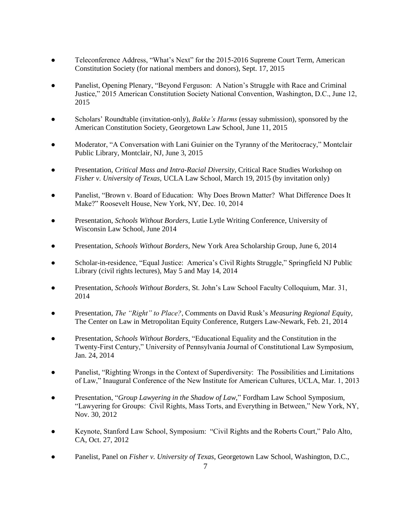- Teleconference Address, "What's Next" for the 2015-2016 Supreme Court Term, American Constitution Society (for national members and donors), Sept. 17, 2015
- Panelist, Opening Plenary, "Beyond Ferguson: A Nation's Struggle with Race and Criminal Justice," 2015 American Constitution Society National Convention, Washington, D.C., June 12, 2015
- Scholars' Roundtable (invitation-only), *Bakke's Harms* (essay submission), sponsored by the American Constitution Society, Georgetown Law School, June 11, 2015
- Moderator, "A Conversation with Lani Guinier on the Tyranny of the Meritocracy," Montclair Public Library, Montclair, NJ, June 3, 2015
- Presentation, *Critical Mass and Intra-Racial Diversity*, Critical Race Studies Workshop on *Fisher v. University of Texas*, UCLA Law School, March 19, 2015 (by invitation only)
- Panelist, "Brown v. Board of Education: Why Does Brown Matter? What Difference Does It Make?" Roosevelt House, New York, NY, Dec. 10, 2014
- Presentation, *Schools Without Borders*, Lutie Lytle Writing Conference, University of Wisconsin Law School, June 2014
- Presentation, *Schools Without Borders*, New York Area Scholarship Group, June 6, 2014
- Scholar-in-residence, "Equal Justice: America's Civil Rights Struggle," Springfield NJ Public Library (civil rights lectures), May 5 and May 14, 2014
- Presentation, *Schools Without Borders*, St. John's Law School Faculty Colloquium, Mar. 31, 2014
- Presentation, *The "Right" to Place?*, Comments on David Rusk's *Measuring Regional Equity*, The Center on Law in Metropolitan Equity Conference, Rutgers Law-Newark, Feb. 21, 2014
- Presentation, *Schools Without Borders*, "Educational Equality and the Constitution in the Twenty-First Century," University of Pennsylvania Journal of Constitutional Law Symposium, Jan. 24, 2014
- Panelist, "Righting Wrongs in the Context of Superdiversity: The Possibilities and Limitations of Law," Inaugural Conference of the New Institute for American Cultures, UCLA, Mar. 1, 2013
- Presentation, "*Group Lawyering in the Shadow of Law,*" Fordham Law School Symposium, "Lawyering for Groups: Civil Rights, Mass Torts, and Everything in Between," New York, NY, Nov. 30, 2012
- Keynote, Stanford Law School, Symposium: "Civil Rights and the Roberts Court," Palo Alto, CA, Oct. 27, 2012
- Panelist, Panel on *Fisher v. University of Texas*, Georgetown Law School, Washington, D.C.,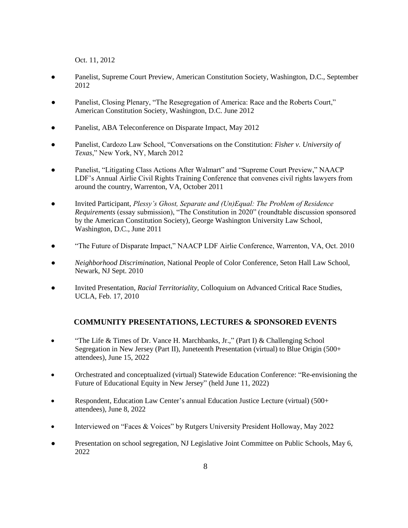Oct. 11, 2012

- Panelist, Supreme Court Preview, American Constitution Society, Washington, D.C., September 2012
- Panelist, Closing Plenary, "The Resegregation of America: Race and the Roberts Court," American Constitution Society, Washington, D.C. June 2012
- Panelist, ABA Teleconference on Disparate Impact, May 2012
- Panelist, Cardozo Law School, "Conversations on the Constitution: *Fisher v. University of Texas*," New York, NY, March 2012
- Panelist, "Litigating Class Actions After Walmart" and "Supreme Court Preview," NAACP LDF's Annual Airlie Civil Rights Training Conference that convenes civil rights lawyers from around the country, Warrenton, VA, October 2011
- Invited Participant, *Plessy's Ghost, Separate and (Un)Equal: The Problem of Residence Requirements* (essay submission), "The Constitution in 2020" (roundtable discussion sponsored by the American Constitution Society), George Washington University Law School, Washington, D.C., June 2011
- "The Future of Disparate Impact," NAACP LDF Airlie Conference, Warrenton, VA, Oct. 2010
- *Neighborhood Discrimination*, National People of Color Conference, Seton Hall Law School, Newark, NJ Sept. 2010
- Invited Presentation, *Racial Territoriality,* Colloquium on Advanced Critical Race Studies, UCLA, Feb. 17, 2010

# **COMMUNITY PRESENTATIONS, LECTURES & SPONSORED EVENTS**

- "The Life & Times of Dr. Vance H. Marchbanks, Jr.," (Part I) & Challenging School Segregation in New Jersey (Part II), Juneteenth Presentation (virtual) to Blue Origin (500+ attendees), June 15, 2022
- Orchestrated and conceptualized (virtual) Statewide Education Conference: "Re-envisioning the Future of Educational Equity in New Jersey" (held June 11, 2022)
- Respondent, Education Law Center's annual Education Justice Lecture (virtual) (500+ attendees), June 8, 2022
- Interviewed on "Faces & Voices" by Rutgers University President Holloway, May 2022
- Presentation on school segregation, NJ Legislative Joint Committee on Public Schools, May 6, 2022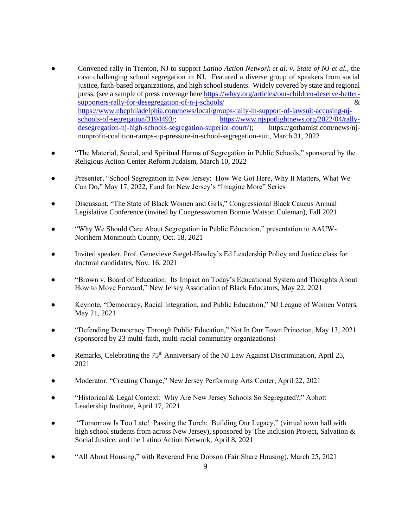- Convened rally in Trenton, NJ to support *Latino Action Network et al. v. State of NJ et al.*, the case challenging school segregation in NJ. Featured a diverse group of speakers from social justice, faith-based organizations, and high school students. Widely covered by state and regional press. (see a sample of press coverage her[e https://whyy.org/articles/our-children-deserve-better](https://whyy.org/articles/our-children-deserve-better-supporters-rally-for-desegregation-of-n-j-schools/)[supporters-rally-for-desegregation-of-n-j-schools/](https://whyy.org/articles/our-children-deserve-better-supporters-rally-for-desegregation-of-n-j-schools/) & [https://www.nbcphiladelphia.com/news/local/groups-rally-in-support-of-lawsuit-accusing-nj](https://www.nbcphiladelphia.com/news/local/groups-rally-in-support-of-lawsuit-accusing-nj-schools-of-segregation/3194493/)[schools-of-segregation/3194493/;](https://www.nbcphiladelphia.com/news/local/groups-rally-in-support-of-lawsuit-accusing-nj-schools-of-segregation/3194493/) [https://www.njspotlightnews.org/2022/04/rally](https://www.njspotlightnews.org/2022/04/rally-desegregation-nj-high-schools-segregation-superior-court/)[desegregation-nj-high-schools-segregation-superior-court/\)](https://www.njspotlightnews.org/2022/04/rally-desegregation-nj-high-schools-segregation-superior-court/); https://gothamist.com/news/njnonprofit-coalition-ramps-up-pressure-in-school-segregation-suit, March 31, 2022
- "The Material, Social, and Spiritual Harms of Segregation in Public Schools," sponsored by the Religious Action Center Reform Judaism, March 10, 2022
- Presenter, "School Segregation in New Jersey: How We Got Here, Why It Matters, What We Can Do," May 17, 2022, Fund for New Jersey's "Imagine More" Series
- Discussant, "The State of Black Women and Girls," Congressional Black Caucus Annual Legislative Conference (invited by Congresswoman Bonnie Watson Coleman), Fall 2021
- "Why We Should Care About Segregation in Public Education," presentation to AAUW-Northern Monmouth County, Oct. 18, 2021
- Invited speaker, Prof. Genevieve Siegel-Hawley's Ed Leadership Policy and Justice class for doctoral candidates, Nov. 16, 2021
- "Brown v. Board of Education: Its Impact on Today's Educational System and Thoughts About How to Move Forward," New Jersey Association of Black Educators, May 22, 2021
- Keynote, "Democracy, Racial Integration, and Public Education," NJ League of Women Voters, May 21, 2021
- "Defending Democracy Through Public Education," Not In Our Town Princeton, May 13, 2021 (sponsored by 23 multi-faith, multi-racial community organizations)
- Remarks, Celebrating the 75<sup>th</sup> Anniversary of the NJ Law Against Discrimination, April 25, 2021
- Moderator, "Creating Change," New Jersey Performing Arts Center, April 22, 2021
- "Historical & Legal Context: Why Are New Jersey Schools So Segregated?," Abbott Leadership Institute, April 17, 2021
- "Tomorrow Is Too Late! Passing the Torch: Building Our Legacy," (virtual town hall with high school students from across New Jersey), sponsored by The Inclusion Project, Salvation & Social Justice, and the Latino Action Network, April 8, 2021
- "All About Housing," with Reverend Eric Dobson (Fair Share Housing), March 25, 2021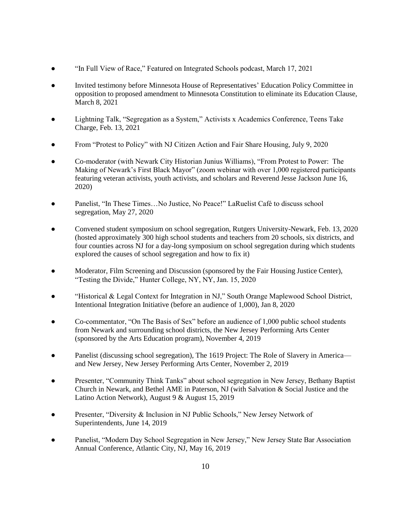- "In Full View of Race," Featured on Integrated Schools podcast, March 17, 2021
- Invited testimony before Minnesota House of Representatives' Education Policy Committee in opposition to proposed amendment to Minnesota Constitution to eliminate its Education Clause, March 8, 2021
- Lightning Talk, "Segregation as a System," Activists x Academics Conference, Teens Take Charge, Feb. 13, 2021
- From "Protest to Policy" with NJ Citizen Action and Fair Share Housing, July 9, 2020
- Co-moderator (with Newark City Historian Junius Williams), "From Protest to Power: The Making of Newark's First Black Mayor" (zoom webinar with over 1,000 registered participants featuring veteran activists, youth activists, and scholars and Reverend Jesse Jackson June 16, 2020)
- Panelist, "In These Times... No Justice, No Peace!" LaRuelist Café to discuss school segregation, May 27, 2020
- Convened student symposium on school segregation, Rutgers University-Newark, Feb. 13, 2020 (hosted approximately 300 high school students and teachers from 20 schools, six districts, and four counties across NJ for a day-long symposium on school segregation during which students explored the causes of school segregation and how to fix it)
- Moderator, Film Screening and Discussion (sponsored by the Fair Housing Justice Center), "Testing the Divide," Hunter College, NY, NY, Jan. 15, 2020
- "Historical & Legal Context for Integration in NJ," South Orange Maplewood School District, Intentional Integration Initiative (before an audience of 1,000), Jan 8, 2020
- Co-commentator, "On The Basis of Sex" before an audience of 1,000 public school students from Newark and surrounding school districts, the New Jersey Performing Arts Center (sponsored by the Arts Education program), November 4, 2019
- Panelist (discussing school segregation), The 1619 Project: The Role of Slavery in Americaand New Jersey, New Jersey Performing Arts Center, November 2, 2019
- Presenter, "Community Think Tanks" about school segregation in New Jersey, Bethany Baptist Church in Newark, and Bethel AME in Paterson, NJ (with Salvation & Social Justice and the Latino Action Network), August 9 & August 15, 2019
- Presenter, "Diversity & Inclusion in NJ Public Schools," New Jersey Network of Superintendents, June 14, 2019
- Panelist, "Modern Day School Segregation in New Jersey," New Jersey State Bar Association Annual Conference, Atlantic City, NJ, May 16, 2019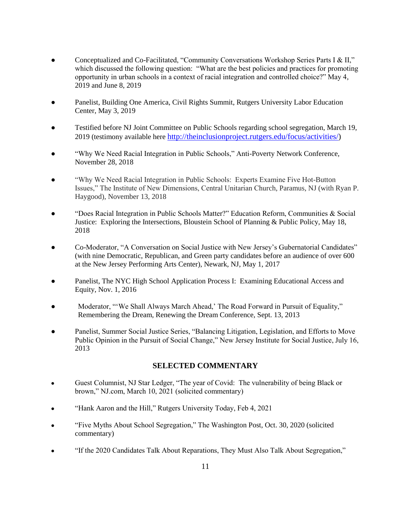- Conceptualized and Co-Facilitated, "Community Conversations Workshop Series Parts I & II," which discussed the following question: "What are the best policies and practices for promoting opportunity in urban schools in a context of racial integration and controlled choice?" May 4, 2019 and June 8, 2019
- Panelist, Building One America, Civil Rights Summit, Rutgers University Labor Education Center, May 3, 2019
- Testified before NJ Joint Committee on Public Schools regarding school segregation, March 19, 2019 (testimony available here [http://theinclusionproject.rutgers.edu/focus/activities/\)](http://theinclusionproject.rutgers.edu/focus/activities/)
- "Why We Need Racial Integration in Public Schools," Anti-Poverty Network Conference, November 28, 2018
- "Why We Need Racial Integration in Public Schools: Experts Examine Five Hot-Button Issues," The Institute of New Dimensions, Central Unitarian Church, Paramus, NJ (with Ryan P. Haygood), November 13, 2018
- "Does Racial Integration in Public Schools Matter?" Education Reform, Communities & Social Justice: Exploring the Intersections, Bloustein School of Planning & Public Policy, May 18, 2018
- Co-Moderator, "A Conversation on Social Justice with New Jersey's Gubernatorial Candidates" (with nine Democratic, Republican, and Green party candidates before an audience of over 600 at the New Jersey Performing Arts Center), Newark, NJ, May 1, 2017
- Panelist, The NYC High School Application Process I: Examining Educational Access and Equity, Nov. 1, 2016
- Moderator, "'We Shall Always March Ahead,' The Road Forward in Pursuit of Equality," Remembering the Dream, Renewing the Dream Conference, Sept. 13, 2013
- Panelist, Summer Social Justice Series, "Balancing Litigation, Legislation, and Efforts to Move Public Opinion in the Pursuit of Social Change," New Jersey Institute for Social Justice, July 16, 2013

# **SELECTED COMMENTARY**

- Guest Columnist, NJ Star Ledger, "The year of Covid: The vulnerability of being Black or brown," NJ.com, March 10, 2021 (solicited commentary)
- "Hank Aaron and the Hill," Rutgers University Today, Feb 4, 2021
- "Five Myths About School Segregation," The Washington Post, Oct. 30, 2020 (solicited commentary)
- "If the 2020 Candidates Talk About Reparations, They Must Also Talk About Segregation,"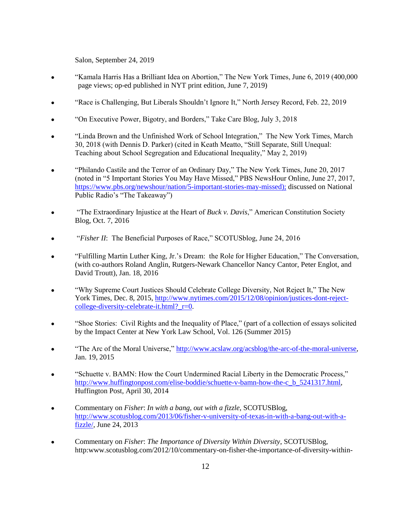Salon, September 24, 2019

- "Kamala Harris Has a Brilliant Idea on Abortion," The New York Times, June 6, 2019 (400,000 page views; op-ed published in NYT print edition, June 7, 2019)
- "Race is Challenging, But Liberals Shouldn't Ignore It," North Jersey Record, Feb. 22, 2019
- "On Executive Power, Bigotry, and Borders," Take Care Blog, July 3, 2018
- "Linda Brown and the Unfinished Work of School Integration," The New York Times, March 30, 2018 (with Dennis D. Parker) (cited in Keath Meatto, "Still Separate, Still Unequal: Teaching about School Segregation and Educational Inequality," May 2, 2019)
- "Philando Castile and the Terror of an Ordinary Day," The New York Times, June 20, 2017 (noted in "5 Important Stories You May Have Missed," PBS NewsHour Online, June 27, 2017, [https://www.pbs.org/newshour/nation/5-important-stories-may-missed\)](https://www.pbs.org/newshour/nation/5-important-stories-may-missed); discussed on National Public Radio's "The Takeaway")
- "The Extraordinary Injustice at the Heart of *Buck v. Davis*," American Constitution Society Blog, Oct. 7, 2016
- "*Fisher II*: The Beneficial Purposes of Race," SCOTUSblog, June 24, 2016
- "Fulfilling Martin Luther King, Jr.'s Dream: the Role for Higher Education," The Conversation, (with co-authors Roland Anglin, Rutgers-Newark Chancellor Nancy Cantor, Peter Englot, and David Troutt), Jan. 18, 2016
- "Why Supreme Court Justices Should Celebrate College Diversity, Not Reject It," The New York Times, Dec. 8, 2015[, http://www.nytimes.com/2015/12/08/opinion/justices-dont-reject](http://www.nytimes.com/2015/12/08/opinion/justices-dont-reject-college-diversity-celebrate-it.html?_r=0)college-diversity-celebrate-it.html? $r=0$ .
- "Shoe Stories: Civil Rights and the Inequality of Place," (part of a collection of essays solicited by the Impact Center at New York Law School, Vol. 126 (Summer 2015)
- "The Arc of the Moral Universe," [http://www.acslaw.org/acsblog/the-arc-of-the-moral-universe,](http://www.acslaw.org/acsblog/the-arc-of-the-moral-universe) Jan. 19, 2015
- "Schuette v. BAMN: How the Court Undermined Racial Liberty in the Democratic Process," [http://www.huffingtonpost.com/elise-boddie/schuette-v-bamn-how-the-c\\_b\\_5241317.html,](http://www.huffingtonpost.com/elise-boddie/schuette-v-bamn-how-the-c_b_5241317.html) Huffington Post, April 30, 2014
- Commentary on *Fisher*: *In with a bang, out with a fizzle*, SCOTUSBlog, [http://www.scotusblog.com/2013/06/fisher-v-university-of-texas-in-with-a-bang-out-with-a](http://www.scotusblog.com/2013/06/fisher-v-university-of-texas-in-with-a-bang-out-with-a-fizzle/)[fizzle/,](http://www.scotusblog.com/2013/06/fisher-v-university-of-texas-in-with-a-bang-out-with-a-fizzle/) June 24, 2013
- Commentary on *Fisher*: *The Importance of Diversity Within Diversity*, SCOTUSBlog, http:www.scotusblog.com/2012/10/commentary-on-fisher-the-importance-of-diversity-within-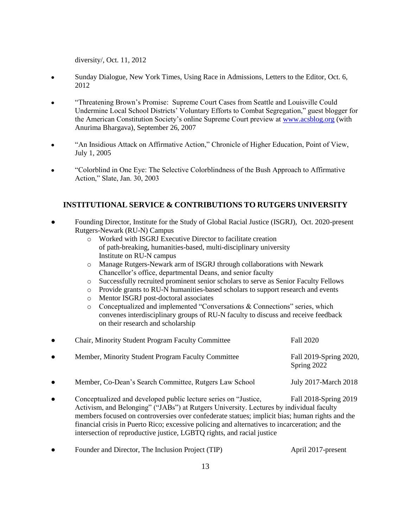diversity/, Oct. 11, 2012

- Sunday Dialogue, New York Times, Using Race in Admissions, Letters to the Editor, Oct. 6, 2012
- "Threatening Brown's Promise: Supreme Court Cases from Seattle and Louisville Could Undermine Local School Districts' Voluntary Efforts to Combat Segregation," guest blogger for the American Constitution Society's online Supreme Court preview at [www.acsblog.org](http://www.acsblog.org/) (with Anurima Bhargava), September 26, 2007
- "An Insidious Attack on Affirmative Action," Chronicle of Higher Education, Point of View, July 1, 2005
- "Colorblind in One Eye: The Selective Colorblindness of the Bush Approach to Affirmative Action," Slate, Jan. 30, 2003

# **INSTITUTIONAL SERVICE & CONTRIBUTIONS TO RUTGERS UNIVERSITY**

- Founding Director, Institute for the Study of Global Racial Justice (ISGRJ), Oct. 2020-present Rutgers-Newark (RU-N) Campus
	- o Worked with ISGRJ Executive Director to facilitate creation of path-breaking, humanities-based, multi-disciplinary university Institute on RU-N campus
	- o Manage Rutgers-Newark arm of ISGRJ through collaborations with Newark Chancellor's office, departmental Deans, and senior faculty
	- o Successfully recruited prominent senior scholars to serve as Senior Faculty Fellows
	- o Provide grants to RU-N humanities-based scholars to support research and events
	- o Mentor ISGRJ post-doctoral associates
	- o Conceptualized and implemented "Conversations & Connections" series, which convenes interdisciplinary groups of RU-N faculty to discuss and receive feedback on their research and scholarship

| $\bullet$ | <b>Chair, Minority Student Program Faculty Committee</b> | Fall 2020                             |
|-----------|----------------------------------------------------------|---------------------------------------|
| $\bullet$ | Member, Minority Student Program Faculty Committee       | Fall 2019-Spring 2020,<br>Spring 2022 |
| $\bullet$ | Member, Co-Dean's Search Committee, Rutgers Law School   | July 2017-March 2018                  |

- Conceptualized and developed public lecture series on "Justice, Fall 2018-Spring 2019 Activism, and Belonging" ("JABs") at Rutgers University. Lectures by individual faculty members focused on controversies over confederate statues; implicit bias; human rights and the financial crisis in Puerto Rico; excessive policing and alternatives to incarceration; and the intersection of reproductive justice, LGBTQ rights, and racial justice
- Founder and Director, The Inclusion Project (TIP) April 2017-present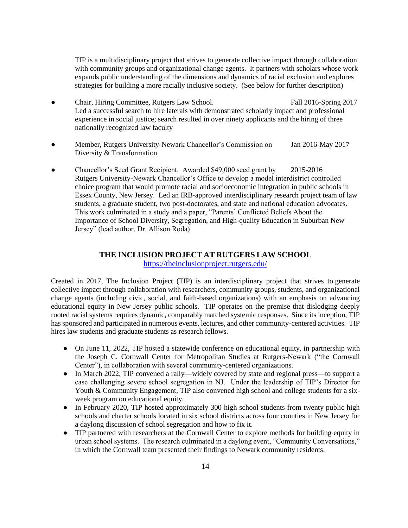TIP is a multidisciplinary project that strives to generate collective impact through collaboration with community groups and organizational change agents. It partners with scholars whose work expands public understanding of the dimensions and dynamics of racial exclusion and explores strategies for building a more racially inclusive society. (See below for further description)

- Chair, Hiring Committee, Rutgers Law School. Fall 2016-Spring 2017 Led a successful search to hire laterals with demonstrated scholarly impact and professional experience in social justice; search resulted in over ninety applicants and the hiring of three nationally recognized law faculty
- Member, Rutgers University-Newark Chancellor's Commission on Jan 2016-May 2017 Diversity & Transformation
- Chancellor's Seed Grant Recipient. Awarded \$49,000 seed grant by 2015-2016 Rutgers University-Newark Chancellor's Office to develop a model interdistrict controlled choice program that would promote racial and socioeconomic integration in public schools in Essex County, New Jersey. Led an IRB-approved interdisciplinary research project team of law students, a graduate student, two post-doctorates, and state and national education advocates. This work culminated in a study and a paper, "Parents' Conflicted Beliefs About the Importance of School Diversity, Segregation, and High-quality Education in Suburban New Jersey" (lead author, Dr. Allison Roda)

# **THE INCLUSION PROJECT AT RUTGERS LAW SCHOOL**

<https://theinclusionproject.rutgers.edu/>

Created in 2017, The Inclusion Project (TIP) is an interdisciplinary project that strives to generate collective impact through collaboration with researchers, community groups, students, and organizational change agents (including civic, social, and faith-based organizations) with an emphasis on advancing educational equity in New Jersey public schools. TIP operates on the premise that dislodging deeply rooted racial systems requires dynamic, comparably matched systemic responses. Since its inception, TIP has sponsored and participated in numerous events, lectures, and other community-centered activities. TIP hires law students and graduate students as research fellows.

- On June 11, 2022, TIP hosted a statewide conference on educational equity, in partnership with the Joseph C. Cornwall Center for Metropolitan Studies at Rutgers-Newark ("the Cornwall Center"), in collaboration with several community-centered organizations.
- In March 2022, TIP convened a rally—widely covered by state and regional press—to support a case challenging severe school segregation in NJ. Under the leadership of TIP's Director for Youth & Community Engagement, TIP also convened high school and college students for a sixweek program on educational equity.
- In February 2020, TIP hosted approximately 300 high school students from twenty public high schools and charter schools located in six school districts across four counties in New Jersey for a daylong discussion of school segregation and how to fix it.
- TIP partnered with researchers at the Cornwall Center to explore methods for building equity in urban school systems. The research culminated in a daylong event, "Community Conversations," in which the Cornwall team presented their findings to Newark community residents.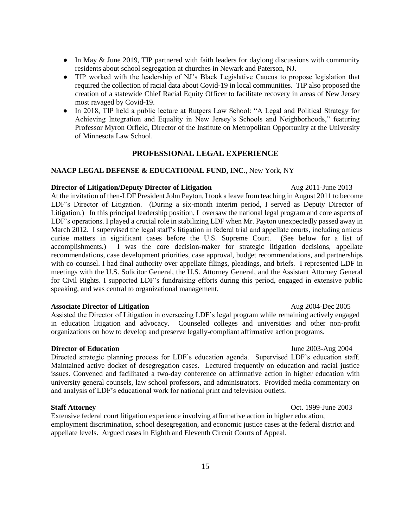- In May & June 2019, TIP partnered with faith leaders for daylong discussions with community residents about school segregation at churches in Newark and Paterson, NJ.
- TIP worked with the leadership of NJ's Black Legislative Caucus to propose legislation that required the collection of racial data about Covid-19 in local communities. TIP also proposed the creation of a statewide Chief Racial Equity Officer to facilitate recovery in areas of New Jersey most ravaged by Covid-19.
- In 2018, TIP held a public lecture at Rutgers Law School: "A Legal and Political Strategy for Achieving Integration and Equality in New Jersey's Schools and Neighborhoods," featuring Professor Myron Orfield, Director of the Institute on Metropolitan Opportunity at the University of Minnesota Law School.

# **PROFESSIONAL LEGAL EXPERIENCE**

#### **NAACP LEGAL DEFENSE & EDUCATIONAL FUND, INC.**, New York, NY

#### **Director of Litigation/Deputy Director of Litigation** Aug 2011-June 2013

At the invitation of then-LDF President John Payton, I took a leave from teaching in August 2011 to become LDF's Director of Litigation. (During a six-month interim period, I served as Deputy Director of Litigation.) In this principal leadership position, I oversaw the national legal program and core aspects of LDF's operations. I played a crucial role in stabilizing LDF when Mr. Payton unexpectedly passed away in March 2012. I supervised the legal staff's litigation in federal trial and appellate courts, including amicus curiae matters in significant cases before the U.S. Supreme Court. (See below for a list of accomplishments.) I was the core decision-maker for strategic litigation decisions, appellate recommendations, case development priorities, case approval, budget recommendations, and partnerships with co-counsel. I had final authority over appellate filings, pleadings, and briefs. I represented LDF in meetings with the U.S. Solicitor General, the U.S. Attorney General, and the Assistant Attorney General for Civil Rights. I supported LDF's fundraising efforts during this period, engaged in extensive public speaking, and was central to organizational management.

#### **Associate Director of Litigation**   $\mu$  **Aug 2004-Dec 2005**

Assisted the Director of Litigation in overseeing LDF's legal program while remaining actively engaged in education litigation and advocacy. Counseled colleges and universities and other non-profit organizations on how to develop and preserve legally-compliant affirmative action programs.

#### **Director of Education June 2003-Aug 2004**

Directed strategic planning process for LDF's education agenda. Supervised LDF's education staff. Maintained active docket of desegregation cases. Lectured frequently on education and racial justice issues. Convened and facilitated a two-day conference on affirmative action in higher education with university general counsels, law school professors, and administrators. Provided media commentary on and analysis of LDF's educational work for national print and television outlets.

#### **Staff Attorney** Oct. 1999-June 2003

Extensive federal court litigation experience involving affirmative action in higher education, employment discrimination, school desegregation, and economic justice cases at the federal district and appellate levels. Argued cases in Eighth and Eleventh Circuit Courts of Appeal.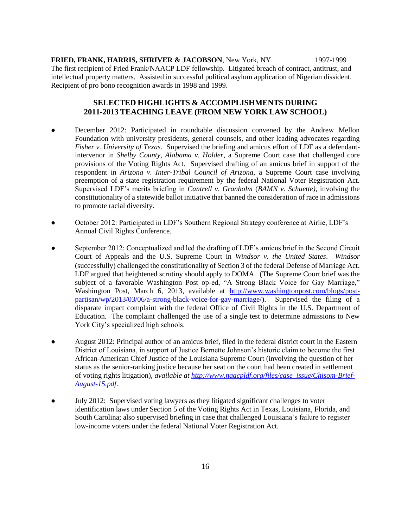**FRIED, FRANK, HARRIS, SHRIVER & JACOBSON**, New York, NY 1997-1999 The first recipient of Fried Frank/NAACP LDF fellowship. Litigated breach of contract, antitrust, and intellectual property matters. Assisted in successful political asylum application of Nigerian dissident. Recipient of pro bono recognition awards in 1998 and 1999.

# **SELECTED HIGHLIGHTS & ACCOMPLISHMENTS DURING 2011-2013 TEACHING LEAVE (FROM NEW YORK LAW SCHOOL)**

- December 2012: Participated in roundtable discussion convened by the Andrew Mellon Foundation with university presidents, general counsels, and other leading advocates regarding *Fisher v. University of Texas*. Supervised the briefing and amicus effort of LDF as a defendantintervenor in *Shelby County, Alabama v. Holder*, a Supreme Court case that challenged core provisions of the Voting Rights Act. Supervised drafting of an amicus brief in support of the respondent in *Arizona v. Inter-Tribal Council of Arizona*, a Supreme Court case involving preemption of a state registration requirement by the federal National Voter Registration Act. Supervised LDF's merits briefing in *Cantrell v. Granholm* (*BAMN v. Schuette)*, involving the constitutionality of a statewide ballot initiative that banned the consideration of race in admissions to promote racial diversity.
- October 2012: Participated in LDF's Southern Regional Strategy conference at Airlie, LDF's Annual Civil Rights Conference.
- September 2012: Conceptualized and led the drafting of LDF's amicus brief in the Second Circuit Court of Appeals and the U.S. Supreme Court in *Windsor v. the United States*. *Windsor* (successfully) challenged the constitutionality of Section 3 of the federal Defense of Marriage Act. LDF argued that heightened scrutiny should apply to DOMA. (The Supreme Court brief was the subject of a favorable Washington Post op-ed, "A Strong Black Voice for Gay Marriage," Washington Post, March 6, 2013, available at [http://www.washingtonpost.com/blogs/post](http://www.washingtonpost.com/blogs/post-partisan/wp/2013/03/06/a-strong-black-voice-for-gay-marriage/)[partisan/wp/2013/03/06/a-strong-black-voice-for-gay-marriage/\)](http://www.washingtonpost.com/blogs/post-partisan/wp/2013/03/06/a-strong-black-voice-for-gay-marriage/). Supervised the filing of a disparate impact complaint with the federal Office of Civil Rights in the U.S. Department of Education. The complaint challenged the use of a single test to determine admissions to New York City's specialized high schools.
- August 2012: Principal author of an amicus brief, filed in the federal district court in the Eastern District of Louisiana, in support of Justice Bernette Johnson's historic claim to become the first African-American Chief Justice of the Louisiana Supreme Court (involving the question of her status as the senior-ranking justice because her seat on the court had been created in settlement of voting rights litigation), *available at [http://www.naacpldf.org/files/case\\_issue/Chisom-Brief-](http://www.naacpldf.org/files/case_issue/Chisom-Brief-August-15.pdf)[August-15.pdf](http://www.naacpldf.org/files/case_issue/Chisom-Brief-August-15.pdf)*.
- July 2012: Supervised voting lawyers as they litigated significant challenges to voter identification laws under Section 5 of the Voting Rights Act in Texas, Louisiana, Florida, and South Carolina; also supervised briefing in case that challenged Louisiana's failure to register low-income voters under the federal National Voter Registration Act.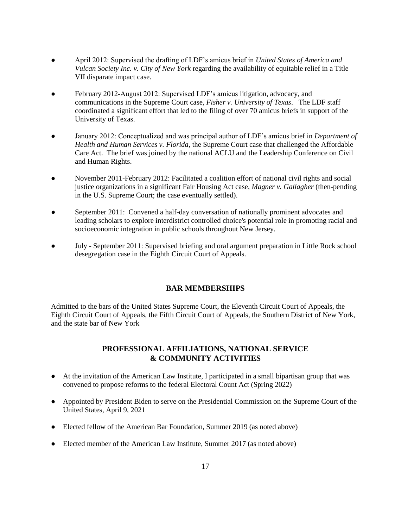- April 2012: Supervised the drafting of LDF's amicus brief in *United States of America and Vulcan Society Inc. v. City of New York* regarding the availability of equitable relief in a Title VII disparate impact case.
- February 2012-August 2012: Supervised LDF's amicus litigation, advocacy, and communications in the Supreme Court case, *Fisher v. University of Texas*. The LDF staff coordinated a significant effort that led to the filing of over 70 amicus briefs in support of the University of Texas.
- January 2012: Conceptualized and was principal author of LDF's amicus brief in *Department of Health and Human Services v. Florida*, the Supreme Court case that challenged the Affordable Care Act. The brief was joined by the national ACLU and the Leadership Conference on Civil and Human Rights.
- November 2011-February 2012: Facilitated a coalition effort of national civil rights and social justice organizations in a significant Fair Housing Act case, *Magner v. Gallagher* (then-pending in the U.S. Supreme Court; the case eventually settled).
- September 2011: Convened a half-day conversation of nationally prominent advocates and leading scholars to explore interdistrict controlled choice's potential role in promoting racial and socioeconomic integration in public schools throughout New Jersey.
- July September 2011: Supervised briefing and oral argument preparation in Little Rock school desegregation case in the Eighth Circuit Court of Appeals.

# **BAR MEMBERSHIPS**

Admitted to the bars of the United States Supreme Court, the Eleventh Circuit Court of Appeals, the Eighth Circuit Court of Appeals, the Fifth Circuit Court of Appeals, the Southern District of New York, and the state bar of New York

# **PROFESSIONAL AFFILIATIONS, NATIONAL SERVICE & COMMUNITY ACTIVITIES**

- At the invitation of the American Law Institute, I participated in a small bipartisan group that was convened to propose reforms to the federal Electoral Count Act (Spring 2022)
- Appointed by President Biden to serve on the Presidential Commission on the Supreme Court of the United States, April 9, 2021
- Elected fellow of the American Bar Foundation, Summer 2019 (as noted above)
- Elected member of the American Law Institute, Summer 2017 (as noted above)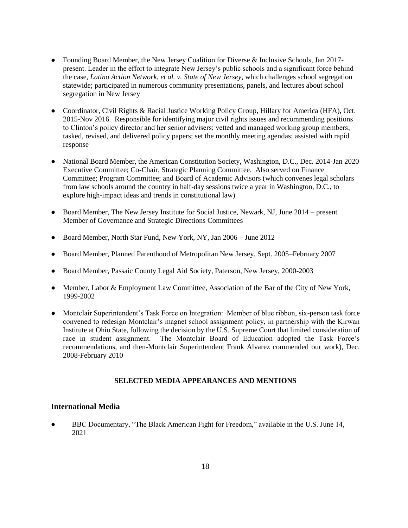- Founding Board Member, the New Jersey Coalition for Diverse & Inclusive Schools, Jan 2017present. Leader in the effort to integrate New Jersey's public schools and a significant force behind the case, *Latino Action Network, et al. v. State of New Jersey*, which challenges school segregation statewide; participated in numerous community presentations, panels, and lectures about school segregation in New Jersey
- Coordinator, Civil Rights & Racial Justice Working Policy Group, Hillary for America (HFA), Oct. 2015-Nov 2016. Responsible for identifying major civil rights issues and recommending positions to Clinton's policy director and her senior advisers; vetted and managed working group members; tasked, revised, and delivered policy papers; set the monthly meeting agendas; assisted with rapid response
- National Board Member, the American Constitution Society, Washington, D.C., Dec. 2014-Jan 2020 Executive Committee; Co-Chair, Strategic Planning Committee. Also served on Finance Committee; Program Committee; and Board of Academic Advisors (which convenes legal scholars from law schools around the country in half-day sessions twice a year in Washington, D.C., to explore high-impact ideas and trends in constitutional law)
- Board Member, The New Jersey Institute for Social Justice, Newark, NJ, June 2014 present Member of Governance and Strategic Directions Committees
- Board Member, North Star Fund, New York, NY, Jan 2006 June 2012
- Board Member, Planned Parenthood of Metropolitan New Jersey, Sept. 2005–February 2007
- Board Member, Passaic County Legal Aid Society, Paterson, New Jersey, 2000-2003
- Member, Labor & Employment Law Committee, Association of the Bar of the City of New York, 1999-2002
- Montclair Superintendent's Task Force on Integration: Member of blue ribbon, six-person task force convened to redesign Montclair's magnet school assignment policy, in partnership with the Kirwan Institute at Ohio State, following the decision by the U.S. Supreme Court that limited consideration of race in student assignment. The Montclair Board of Education adopted the Task Force's recommendations, and then-Montclair Superintendent Frank Alvarez commended our work), Dec. 2008-February 2010

#### **SELECTED MEDIA APPEARANCES AND MENTIONS**

# **International Media**

● BBC Documentary, "The Black American Fight for Freedom," available in the U.S. June 14, 2021